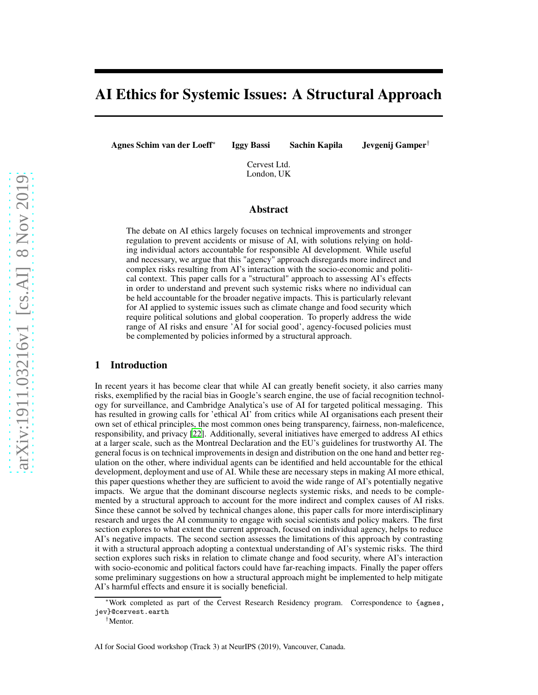# AI Ethics for Systemic Issues: A Structural Approach

Agnes Schim van der Loeff<sup>∗</sup>

Iggy Bassi Sachin Kapila Jevgenij Gamper†

Cervest Ltd. London, UK

### Abstract

The debate on AI ethics largely focuses on technical improvements and stronger regulation to prevent accidents or misuse of AI, with solutions relying on holding individual actors accountable for responsible AI development. While useful and necessary, we argue that this "agency" approach disregards more indirect and complex risks resulting from AI's interaction with the socio-economic and political context. This paper calls for a "structural" approach to assessing AI's effects in order to understand and prevent such systemic risks where no individual can be held accountable for the broader negative impacts. This is particularly relevant for AI applied to systemic issues such as climate change and food security which require political solutions and global cooperation. To properly address the wide range of AI risks and ensure 'AI for social good', agency-focused policies must be complemented by policies informed by a structural approach.

#### 1 Introduction

In recent years it has become clear that while AI can greatly benefit society, it also carries many risks, exemplified by the racial bias in Google's search engine, the use of facial recognition technology for surveillance, and Cambridge Analytica's use of AI for targeted political messaging. This has resulted in growing calls for 'ethical AI' from critics while AI organisations each present their own set of ethical principles, the most common ones being transparency, fairness, non-maleficence, responsibility, and privacy [\[22](#page-4-0)]. Additionally, several initiatives have emerged to address AI ethics at a larger scale, such as the Montreal Declaration and the EU's guidelines for trustworthy AI. The general focus is on technical improvements in design and distribution on the one hand and better regulation on the other, where individual agents can be identified and held accountable for the ethical development, deployment and use of AI. While these are necessary steps in making AI more ethical, this paper questions whether they are sufficient to avoid the wide range of AI's potentially negative impacts. We argue that the dominant discourse neglects systemic risks, and needs to be complemented by a structural approach to account for the more indirect and complex causes of AI risks. Since these cannot be solved by technical changes alone, this paper calls for more interdisciplinary research and urges the AI community to engage with social scientists and policy makers. The first section explores to what extent the current approach, focused on individual agency, helps to reduce AI's negative impacts. The second section assesses the limitations of this approach by contrasting it with a structural approach adopting a contextual understanding of AI's systemic risks. The third section explores such risks in relation to climate change and food security, where AI's interaction with socio-economic and political factors could have far-reaching impacts. Finally the paper offers some preliminary suggestions on how a structural approach might be implemented to help mitigate AI's harmful effects and ensure it is socially beneficial.

<sup>∗</sup>Work completed as part of the Cervest Research Residency program. Correspondence to {agnes, jev}@cervest.earth

<sup>†</sup>Mentor.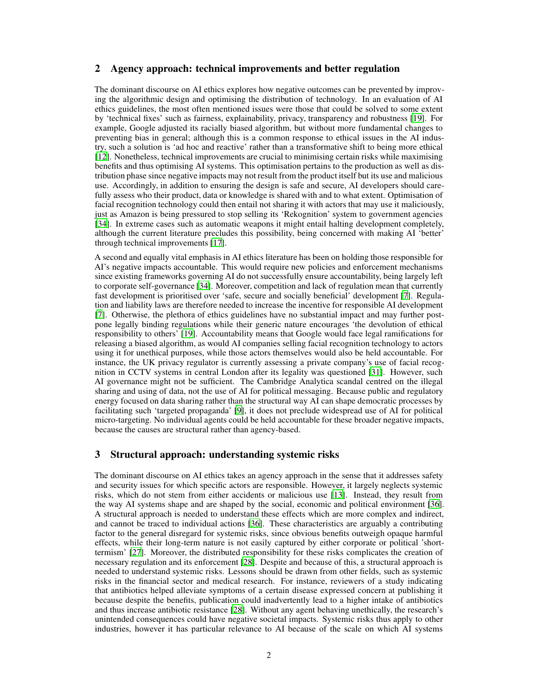#### 2 Agency approach: technical improvements and better regulation

The dominant discourse on AI ethics explores how negative outcomes can be prevented by improving the algorithmic design and optimising the distribution of technology. In an evaluation of AI ethics guidelines, the most often mentioned issues were those that could be solved to some extent by 'technical fixes' such as fairness, explainability, privacy, transparency and robustness [\[19](#page-4-1)]. For example, Google adjusted its racially biased algorithm, but without more fundamental changes to preventing bias in general; although this is a common response to ethical issues in the AI industry, such a solution is 'ad hoc and reactive' rather than a transformative shift to being more ethical [\[12](#page-4-2)]. Nonetheless, technical improvements are crucial to minimising certain risks while maximising benefits and thus optimising AI systems. This optimisation pertains to the production as well as distribution phase since negative impacts may not result from the product itself but its use and malicious use. Accordingly, in addition to ensuring the design is safe and secure, AI developers should carefully assess who their product, data or knowledge is shared with and to what extent. Optimisation of facial recognition technology could then entail not sharing it with actors that may use it maliciously, just as Amazon is being pressured to stop selling its 'Rekognition' system to government agencies [\[34](#page-5-0)]. In extreme cases such as automatic weapons it might entail halting development completely, although the current literature precludes this possibility, being concerned with making AI 'better' through technical improvements [\[17\]](#page-4-3).

A second and equally vital emphasis in AI ethics literature has been on holding those responsible for AI's negative impacts accountable. This would require new policies and enforcement mechanisms since existing frameworks governing AI do not successfully ensure accountability, being largely left to corporate self-governance [\[34\]](#page-5-0). Moreover, competition and lack of regulation mean that currently fast development is prioritised over 'safe, secure and socially beneficial' development [\[7](#page-4-4)]. Regulation and liability laws are therefore needed to increase the incentive for responsible AI development [\[7](#page-4-4)]. Otherwise, the plethora of ethics guidelines have no substantial impact and may further postpone legally binding regulations while their generic nature encourages 'the devolution of ethical responsibility to others' [\[19](#page-4-1)]. Accountability means that Google would face legal ramifications for releasing a biased algorithm, as would AI companies selling facial recognition technology to actors using it for unethical purposes, while those actors themselves would also be held accountable. For instance, the UK privacy regulator is currently assessing a private company's use of facial recognition in CCTV systems in central London after its legality was questioned [\[31\]](#page-5-1). However, such AI governance might not be sufficient. The Cambridge Analytica scandal centred on the illegal sharing and using of data, not the use of AI for political messaging. Because public and regulatory energy focused on data sharing rather than the structural way AI can shape democratic processes by facilitating such 'targeted propaganda' [\[9\]](#page-4-5), it does not preclude widespread use of AI for political micro-targeting. No individual agents could be held accountable for these broader negative impacts, because the causes are structural rather than agency-based.

## <span id="page-1-0"></span>3 Structural approach: understanding systemic risks

The dominant discourse on AI ethics takes an agency approach in the sense that it addresses safety and security issues for which specific actors are responsible. However, it largely neglects systemic risks, which do not stem from either accidents or malicious use [\[13\]](#page-4-6). Instead, they result from the way AI systems shape and are shaped by the social, economic and political environment [\[36\]](#page-5-2). A structural approach is needed to understand these effects which are more complex and indirect, and cannot be traced to individual actions [\[36\]](#page-5-2). These characteristics are arguably a contributing factor to the general disregard for systemic risks, since obvious benefits outweigh opaque harmful effects, while their long-term nature is not easily captured by either corporate or political 'shorttermism' [\[27\]](#page-5-3). Moreover, the distributed responsibility for these risks complicates the creation of necessary regulation and its enforcement [\[28\]](#page-5-4). Despite and because of this, a structural approach is needed to understand systemic risks. Lessons should be drawn from other fields, such as systemic risks in the financial sector and medical research. For instance, reviewers of a study indicating that antibiotics helped alleviate symptoms of a certain disease expressed concern at publishing it because despite the benefits, publication could inadvertently lead to a higher intake of antibiotics and thus increase antibiotic resistance [\[28\]](#page-5-4). Without any agent behaving unethically, the research's unintended consequences could have negative societal impacts. Systemic risks thus apply to other industries, however it has particular relevance to AI because of the scale on which AI systems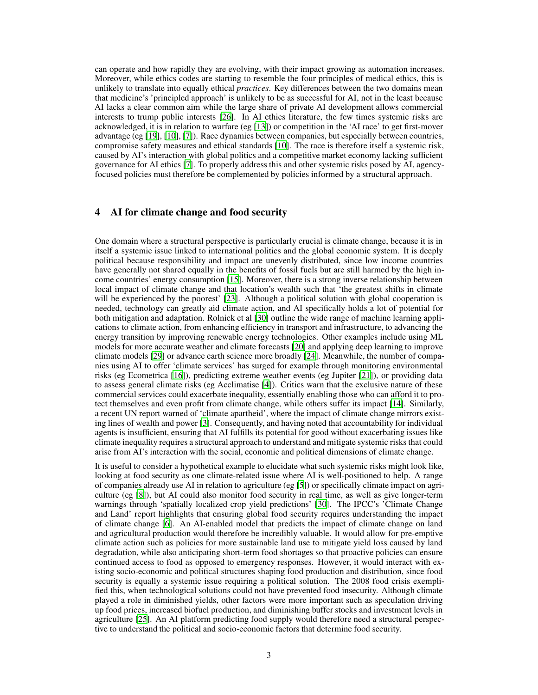can operate and how rapidly they are evolving, with their impact growing as automation increases. Moreover, while ethics codes are starting to resemble the four principles of medical ethics, this is unlikely to translate into equally ethical *practices*. Key differences between the two domains mean that medicine's 'principled approach' is unlikely to be as successful for AI, not in the least because AI lacks a clear common aim while the large share of private AI development allows commercial interests to trump public interests [\[26\]](#page-5-5). In AI ethics literature, the few times systemic risks are acknowledged, it is in relation to warfare (eg [\[13](#page-4-6)]) or competition in the 'AI race' to get first-mover advantage (eg [\[19\]](#page-4-1), [\[10\]](#page-4-7), [\[7](#page-4-4)]). Race dynamics between companies, but especially between countries, compromise safety measures and ethical standards [\[10\]](#page-4-7). The race is therefore itself a systemic risk, caused by AI's interaction with global politics and a competitive market economy lacking sufficient governance for AI ethics [\[7\]](#page-4-4). To properly address this and other systemic risks posed by AI, agencyfocused policies must therefore be complemented by policies informed by a structural approach.

# 4 AI for climate change and food security

One domain where a structural perspective is particularly crucial is climate change, because it is in itself a systemic issue linked to international politics and the global economic system. It is deeply political because responsibility and impact are unevenly distributed, since low income countries have generally not shared equally in the benefits of fossil fuels but are still harmed by the high income countries' energy consumption [\[15\]](#page-4-8). Moreover, there is a strong inverse relationship between local impact of climate change and that location's wealth such that 'the greatest shifts in climate will be experienced by the poorest' [\[23\]](#page-5-6). Although a political solution with global cooperation is needed, technology can greatly aid climate action, and AI specifically holds a lot of potential for both mitigation and adaptation. Rolnick et al [\[30\]](#page-5-7) outline the wide range of machine learning applications to climate action, from enhancing efficiency in transport and infrastructure, to advancing the energy transition by improving renewable energy technologies. Other examples include using ML models for more accurate weather and climate forecasts [\[20](#page-4-9)] and applying deep learning to improve climate models [\[29](#page-5-8)] or advance earth science more broadly [\[24\]](#page-5-9). Meanwhile, the number of companies using AI to offer 'climate services' has surged for example through monitoring environmental risks (eg Ecometrica [\[16\]](#page-4-10)), predicting extreme weather events (eg Jupiter [\[21\]](#page-4-11)), or providing data to assess general climate risks (eg Acclimatise [\[4](#page-4-12)]). Critics warn that the exclusive nature of these commercial services could exacerbate inequality, essentially enabling those who can afford it to protect themselves and even profit from climate change, while others suffer its impact [\[14\]](#page-4-13). Similarly, a recent UN report warned of 'climate apartheid', where the impact of climate change mirrors existing lines of wealth and power [\[3\]](#page-4-14). Consequently, and having noted that accountability for individual agents is insufficient, ensuring that AI fulfills its potential for good without exacerbating issues like climate inequality requires a structural approach to understand and mitigate systemic risks that could arise from AI's interaction with the social, economic and political dimensions of climate change.

It is useful to consider a hypothetical example to elucidate what such systemic risks might look like, looking at food security as one climate-related issue where AI is well-positioned to help. A range of companies already use AI in relation to agriculture (eg [\[5\]](#page-4-15)) or specifically climate impact on agriculture (eg [\[8](#page-4-16)]), but AI could also monitor food security in real time, as well as give longer-term warnings through 'spatially localized crop yield predictions' [\[30\]](#page-5-7). The IPCC's 'Climate Change and Land' report highlights that ensuring global food security requires understanding the impact of climate change [\[6\]](#page-4-17). An AI-enabled model that predicts the impact of climate change on land and agricultural production would therefore be incredibly valuable. It would allow for pre-emptive climate action such as policies for more sustainable land use to mitigate yield loss caused by land degradation, while also anticipating short-term food shortages so that proactive policies can ensure continued access to food as opposed to emergency responses. However, it would interact with existing socio-economic and political structures shaping food production and distribution, since food security is equally a systemic issue requiring a political solution. The 2008 food crisis exemplified this, when technological solutions could not have prevented food insecurity. Although climate played a role in diminished yields, other factors were more important such as speculation driving up food prices, increased biofuel production, and diminishing buffer stocks and investment levels in agriculture [\[25](#page-5-10)]. An AI platform predicting food supply would therefore need a structural perspective to understand the political and socio-economic factors that determine food security.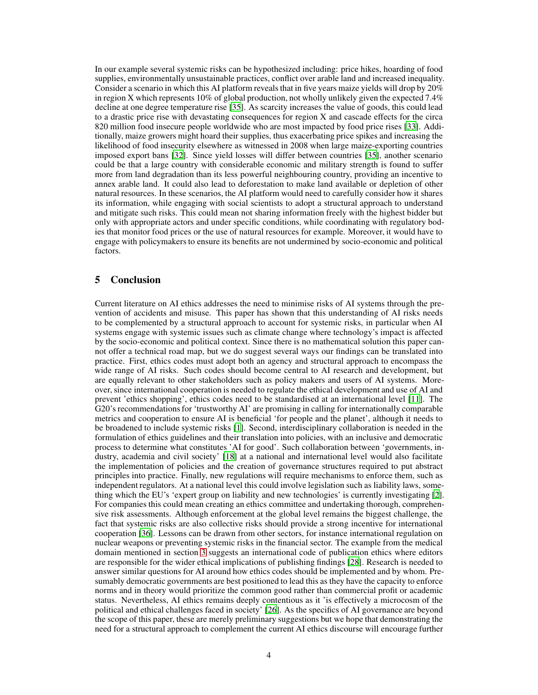In our example several systemic risks can be hypothesized including: price hikes, hoarding of food supplies, environmentally unsustainable practices, conflict over arable land and increased inequality. Consider a scenario in which this AI platform reveals that in five years maize yields will drop by 20% in region X which represents 10% of global production, not wholly unlikely given the expected 7.4% decline at one degree temperature rise [\[35](#page-5-11)]. As scarcity increases the value of goods, this could lead to a drastic price rise with devastating consequences for region X and cascade effects for the circa 820 million food insecure people worldwide who are most impacted by food price rises [\[33](#page-5-12)]. Additionally, maize growers might hoard their supplies, thus exacerbating price spikes and increasing the likelihood of food insecurity elsewhere as witnessed in 2008 when large maize-exporting countries imposed export bans [\[32\]](#page-5-13). Since yield losses will differ between countries [\[35\]](#page-5-11), another scenario could be that a large country with considerable economic and military strength is found to suffer more from land degradation than its less powerful neighbouring country, providing an incentive to annex arable land. It could also lead to deforestation to make land available or depletion of other natural resources. In these scenarios, the AI platform would need to carefully consider how it shares its information, while engaging with social scientists to adopt a structural approach to understand and mitigate such risks. This could mean not sharing information freely with the highest bidder but only with appropriate actors and under specific conditions, while coordinating with regulatory bodies that monitor food prices or the use of natural resources for example. Moreover, it would have to engage with policymakers to ensure its benefits are not undermined by socio-economic and political factors.

# 5 Conclusion

Current literature on AI ethics addresses the need to minimise risks of AI systems through the prevention of accidents and misuse. This paper has shown that this understanding of AI risks needs to be complemented by a structural approach to account for systemic risks, in particular when AI systems engage with systemic issues such as climate change where technology's impact is affected by the socio-economic and political context. Since there is no mathematical solution this paper cannot offer a technical road map, but we do suggest several ways our findings can be translated into practice. First, ethics codes must adopt both an agency and structural approach to encompass the wide range of AI risks. Such codes should become central to AI research and development, but are equally relevant to other stakeholders such as policy makers and users of AI systems. Moreover, since international cooperation is needed to regulate the ethical development and use of AI and prevent 'ethics shopping', ethics codes need to be standardised at an international level [\[11\]](#page-4-18). The G20's recommendations for 'trustworthy AI' are promising in calling for internationally comparable metrics and cooperation to ensure AI is beneficial 'for people and the planet', although it needs to be broadened to include systemic risks [\[1\]](#page-4-19). Second, interdisciplinary collaboration is needed in the formulation of ethics guidelines and their translation into policies, with an inclusive and democratic process to determine what constitutes 'AI for good'. Such collaboration between 'governments, industry, academia and civil society' [\[18\]](#page-4-20) at a national and international level would also facilitate the implementation of policies and the creation of governance structures required to put abstract principles into practice. Finally, new regulations will require mechanisms to enforce them, such as independent regulators. At a national level this could involve legislation such as liability laws, something which the EU's 'expert group on liability and new technologies' is currently investigating [\[2\]](#page-4-21). For companies this could mean creating an ethics committee and undertaking thorough, comprehensive risk assessments. Although enforcement at the global level remains the biggest challenge, the fact that systemic risks are also collective risks should provide a strong incentive for international cooperation [\[36\]](#page-5-2). Lessons can be drawn from other sectors, for instance international regulation on nuclear weapons or preventing systemic risks in the financial sector. The example from the medical domain mentioned in section [3](#page-1-0) suggests an international code of publication ethics where editors are responsible for the wider ethical implications of publishing findings [\[28\]](#page-5-4). Research is needed to answer similar questions for AI around how ethics codes should be implemented and by whom. Presumably democratic governments are best positioned to lead this as they have the capacity to enforce norms and in theory would prioritize the common good rather than commercial profit or academic status. Nevertheless, AI ethics remains deeply contentious as it 'is effectively a microcosm of the political and ethical challenges faced in society' [\[26\]](#page-5-5). As the specifics of AI governance are beyond the scope of this paper, these are merely preliminary suggestions but we hope that demonstrating the need for a structural approach to complement the current AI ethics discourse will encourage further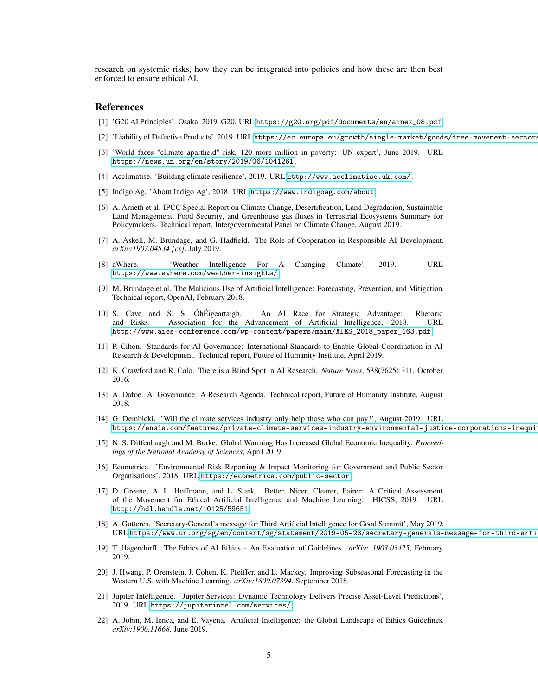research on systemic risks, how they can be integrated into policies and how these are then best enforced to ensure ethical AI.

#### References

- <span id="page-4-19"></span>[1] 'G20 AI Principles'. Osaka, 2019. G20. URL [https://g20.org/pdf/documents/en/annex\\_08.pdf](https://g20.org/pdf/documents/en/annex_08.pdf).
- <span id="page-4-21"></span>[2] 'Liability of Defective Products', 2019. URL https://ec.europa.eu/growth/single-market/goods/free-movement-sectors
- <span id="page-4-14"></span>[3] 'World faces "climate apartheid" risk, 120 more million in poverty: UN expert', June 2019. URL <https://news.un.org/en/story/2019/06/1041261>.
- <span id="page-4-12"></span>[4] Acclimatise. 'Building climate resilience', 2019. URL <http://www.acclimatise.uk.com/>.
- <span id="page-4-15"></span>[5] Indigo Ag. 'About Indigo Ag', 2018. URL <https://www.indigoag.com/about>.
- <span id="page-4-17"></span>[6] A. Arneth et al. IPCC Special Report on Climate Change, Desertification, Land Degradation, Sustainable Land Management, Food Security, and Greenhouse gas fluxes in Terrestrial Ecosystems Summary for Policymakers. Technical report, Intergovernmental Panel on Climate Change, August 2019.
- <span id="page-4-4"></span>[7] A. Askell, M. Brundage, and G. Hadfield. The Role of Cooperation in Responsible AI Development. *arXiv:1907.04534 [cs]*, July 2019.
- <span id="page-4-16"></span>[8] aWhere. 'Weather Intelligence For A Changing Climate', 2019. URL <https://www.awhere.com/weather-insights/>.
- <span id="page-4-5"></span>[9] M. Brundage et al. The Malicious Use of Artificial Intelligence: Forecasting, Prevention, and Mitigation. Technical report, OpenAI, February 2018.
- <span id="page-4-7"></span>[10] S. Cave and S. S. ÓhÉigeartaigh. An AI Race for Strategic Advantage: Rhetoric and Risks. Association for the Advancement of Artificial Intelligence, 2018. URL [http://www.aies-conference.com/wp-content/papers/main/AIES\\_2018\\_paper\\_163.pdf](http://www.aies-conference.com/wp-content/papers/main/AIES_2018_paper_163.pdf).
- <span id="page-4-18"></span>[11] P. Cihon. Standards for AI Governance: International Standards to Enable Global Coordination in AI Research & Development. Technical report, Future of Humanity Institute, April 2019.
- <span id="page-4-2"></span>[12] K. Crawford and R. Calo. There is a Blind Spot in AI Research. *Nature News*, 538(7625):311, October 2016.
- <span id="page-4-6"></span>[13] A. Dafoe. AI Governance: A Research Agenda. Technical report, Future of Humanity Institute, August 2018.
- <span id="page-4-13"></span>[14] G. Dembicki. 'Will the climate services industry only help those who can pay?', August 2019. URL https://ensia.com/features/private-climate-services-industry-environmental-justice-corporations-inequi
- <span id="page-4-8"></span>[15] N. S. Diffenbaugh and M. Burke. Global Warming Has Increased Global Economic Inequality. *Proceedings of the National Academy of Sciences*, April 2019.
- <span id="page-4-10"></span>[16] Ecometrica. 'Environmental Risk Reporting & Impact Monitoring for Government and Public Sector Organisations', 2018. URL <https://ecometrica.com/public-sector>.
- <span id="page-4-3"></span>[17] D. Greene, A. L. Hoffmann, and L. Stark. Better, Nicer, Clearer, Fairer: A Critical Assessment of the Movement for Ethical Artificial Intelligence and Machine Learning. HICSS, 2019. URL <http://hdl.handle.net/10125/59651>.
- <span id="page-4-20"></span>[18] A. Gutteres. 'Secretary-General's message for Third Artificial Intelligence for Good Summit', May 2019. URL https://www.un.org/sg/en/content/sg/statement/2019-05-28/secretary-generals-message-for-third-arti
- <span id="page-4-1"></span>[19] T. Hagendorff. The Ethics of AI Ethics – An Evaluation of Guidelines. *arXiv: 1903.03425*, February 2019.
- <span id="page-4-9"></span>[20] J. Hwang, P. Orenstein, J. Cohen, K. Pfeiffer, and L. Mackey. Improving Subseasonal Forecasting in the Western U.S. with Machine Learning. *arXiv:1809.07394*, September 2018.
- <span id="page-4-11"></span>[21] Jupiter Intelligence. 'Jupiter Services: Dynamic Technology Delivers Precise Asset-Level Predictions', 2019. URL <https://jupiterintel.com/services/>.
- <span id="page-4-0"></span>[22] A. Jobin, M. Ienca, and E. Vayena. Artificial Intelligence: the Global Landscape of Ethics Guidelines. *arXiv:1906.11668*, June 2019.